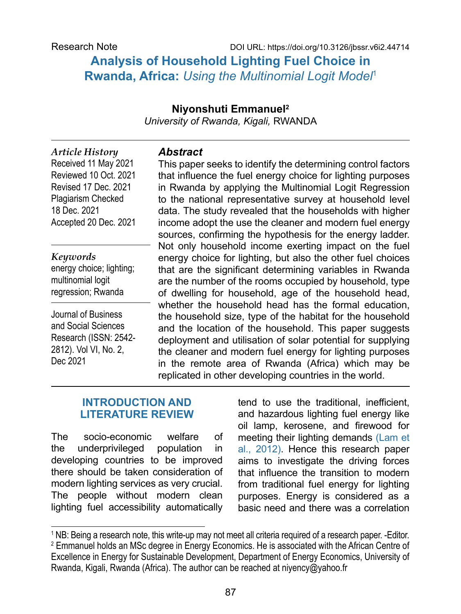# **Analysis of Household Lighting Fuel Choice in Rwanda, Africa:** *Using the Multinomial Logit Model*<sup>1</sup>

# **Niyonshuti Emmanuel2**

*University of Rwanda, Kigali,* RWANDA

*Article History* Received 11 May 2021 Reviewed 10 Oct. 2021 Revised 17 Dec. 2021 Plagiarism Checked 18 Dec. 2021 Accepted 20 Dec. 2021

## *Keywords*

energy choice; lighting; multinomial logit regression; Rwanda

Journal of Business and Social Sciences Research (ISSN: 2542- 2812). Vol VI, No. 2, Dec 2021

### *Abstract*

This paper seeks to identify the determining control factors that influence the fuel energy choice for lighting purposes in Rwanda by applying the Multinomial Logit Regression to the national representative survey at household level data. The study revealed that the households with higher income adopt the use the cleaner and modern fuel energy sources, confirming the hypothesis for the energy ladder. Not only household income exerting impact on the fuel energy choice for lighting, but also the other fuel choices that are the significant determining variables in Rwanda are the number of the rooms occupied by household, type of dwelling for household, age of the household head, whether the household head has the formal education, the household size, type of the habitat for the household and the location of the household. This paper suggests deployment and utilisation of solar potential for supplying the cleaner and modern fuel energy for lighting purposes in the remote area of Rwanda (Africa) which may be replicated in other developing countries in the world.

# **INTRODUCTION AND LITERATURE REVIEW**

The socio-economic welfare of the underprivileged population in developing countries to be improved there should be taken consideration of modern lighting services as very crucial. The people without modern clean lighting fuel accessibility automatically tend to use the traditional, inefficient, and hazardous lighting fuel energy like oil lamp, kerosene, and firewood for meeting their lighting demands [\(Lam et](#page-9-0) [al., 2012\).](#page-9-0) Hence this research paper aims to investigate the driving forces that influence the transition to modern from traditional fuel energy for lighting purposes. Energy is considered as a basic need and there was a correlation

<sup>1</sup> NB: Being a research note, this write-up may not meet all criteria required of a research paper. -Editor. <sup>2</sup> Emmanuel holds an MSc degree in Energy Economics. He is associated with the African Centre of Excellence in Energy for Sustainable Development, Department of Energy Economics, University of Rwanda, Kigali, Rwanda (Africa). The author can be reached at niyency@yahoo.fr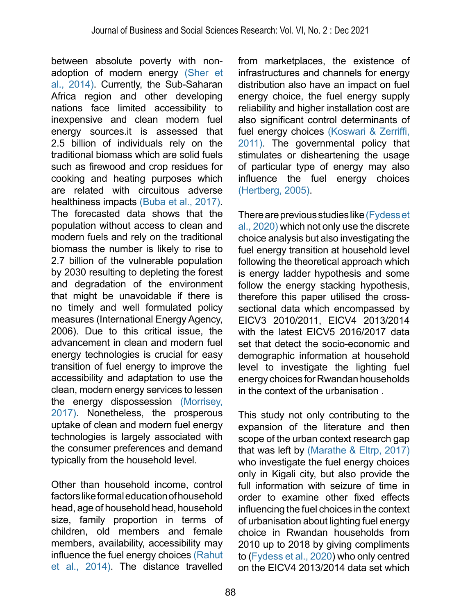between absolute poverty with nonadoption of modern energy [\(Sher et](#page-10-0)  [al., 2014\).](#page-10-0) Currently, the Sub-Saharan Africa region and other developing nations face limited accessibility to inexpensive and clean modern fuel energy sources.it is assessed that 2.5 billion of individuals rely on the traditional biomass which are solid fuels such as firewood and crop residues for cooking and heating purposes which are related with circuitous adverse healthiness impacts [\(Buba et al., 2017\).](#page-9-1) The forecasted data shows that the population without access to clean and modern fuels and rely on the traditional biomass the number is likely to rise to 2.7 billion of the vulnerable population by 2030 resulting to depleting the forest and degradation of the environment that might be unavoidable if there is no timely and well formulated policy measures (International Energy Agency, 2006). Due to this critical issue, the advancement in clean and modern fuel energy technologies is crucial for easy transition of fuel energy to improve the accessibility and adaptation to use the clean, modern energy services to lessen the energy dispossession [\(Morrisey,](#page-10-1)  [2017\)](#page-10-1). Nonetheless, the prosperous uptake of clean and modern fuel energy technologies is largely associated with the consumer preferences and demand typically from the household level.

Other than household income, control factors like formal education of household head, age of household head, household size, family proportion in terms of children, old members and female members, availability, accessibility may influence the fuel energy choices [\(Rahut](#page-10-2)  [et al., 2014\)](#page-10-2). The distance travelled

from marketplaces, the existence of infrastructures and channels for energy distribution also have an impact on fuel energy choice, the fuel energy supply reliability and higher installation cost are also significant control determinants of fuel energy choices [\(Koswari & Zerriffi,](#page-9-2)  [2011\)](#page-9-2). The governmental policy that stimulates or disheartening the usage of particular type of energy may also influence the fuel energy choices [\(Hertberg, 2005\).](#page-9-3)

There are previous studies like [\(Fydess et](#page-9-4)  [al., 2020\)](#page-9-4) which not only use the discrete choice analysis but also investigating the fuel energy transition at household level following the theoretical approach which is energy ladder hypothesis and some follow the energy stacking hypothesis, therefore this paper utilised the crosssectional data which encompassed by EICV3 2010/2011, EICV4 2013/2014 with the latest FICV5 2016/2017 data set that detect the socio-economic and demographic information at household level to investigate the lighting fuel energy choices for Rwandan households in the context of the urbanisation .

This study not only contributing to the expansion of the literature and then scope of the urban context research gap that was left by [\(Marathe & Eltrp, 2017\)](#page-9-5)  who investigate the fuel energy choices only in Kigali city, but also provide the full information with seizure of time in order to examine other fixed effects influencing the fuel choices in the context of urbanisation about lighting fuel energy choice in Rwandan households from 2010 up to 2018 by giving compliments to [\(Fydess et al., 2020](#page-9-4)) who only centred on the EICV4 2013/2014 data set which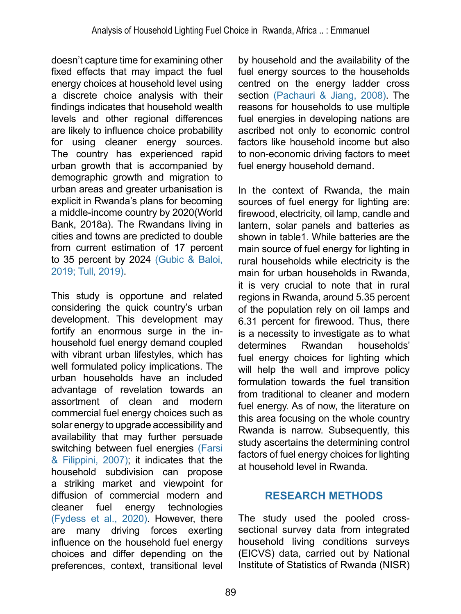doesn't capture time for examining other fixed effects that may impact the fuel energy choices at household level using a discrete choice analysis with their findings indicates that household wealth levels and other regional differences are likely to influence choice probability for using cleaner energy sources. The country has experienced rapid urban growth that is accompanied by demographic growth and migration to urban areas and greater urbanisation is explicit in Rwanda's plans for becoming a middle-income country by 2020(World Bank, 2018a). The Rwandans living in cities and towns are predicted to double from current estimation of 17 percent to 35 percent by 2024 [\(Gubic & Baloi,](#page-9-6)  [2019; Tull, 2019\).](#page-9-6)

This study is opportune and related considering the quick country's urban development. This development may fortify an enormous surge in the inhousehold fuel energy demand coupled with vibrant urban lifestyles, which has well formulated policy implications. The urban households have an included advantage of revelation towards an assortment of clean and modern commercial fuel energy choices such as solar energy to upgrade accessibility and availability that may further persuade switching between fuel energies (Farsi [& Filippini, 2007\)](#page-9-7); it indicates that the household subdivision can propose a striking market and viewpoint for diffusion of commercial modern and cleaner fuel energy technologies [\(Fydess et al., 2020\).](#page-9-4) However, there are many driving forces exerting influence on the household fuel energy choices and differ depending on the preferences, context, transitional level

by household and the availability of the fuel energy sources to the households centred on the energy ladder cross section [\(Pachauri & Jiang, 2008\)](#page-10-3). The reasons for households to use multiple fuel energies in developing nations are ascribed not only to economic control factors like household income but also to non-economic driving factors to meet fuel energy household demand.

In the context of Rwanda, the main sources of fuel energy for lighting are: firewood, electricity, oil lamp, candle and lantern, solar panels and batteries as shown in table1. While batteries are the main source of fuel energy for lighting in rural households while electricity is the main for urban households in Rwanda, it is very crucial to note that in rural regions in Rwanda, around 5.35 percent of the population rely on oil lamps and 6.31 percent for firewood. Thus, there is a necessity to investigate as to what<br>determines Rwandan bouseholds' determines Rwandan households' fuel energy choices for lighting which will help the well and improve policy formulation towards the fuel transition from traditional to cleaner and modern fuel energy. As of now, the literature on this area focusing on the whole country Rwanda is narrow. Subsequently, this study ascertains the determining control factors of fuel energy choices for lighting at household level in Rwanda.

# **RESEARCH METHODS**

The study used the pooled crosssectional survey data from integrated household living conditions surveys (EICVS) data, carried out by National Institute of Statistics of Rwanda (NISR)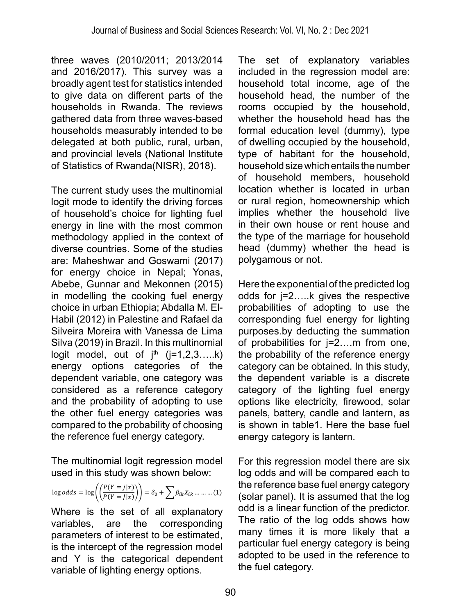three waves (2010/2011; 2013/2014 and 2016/2017). This survey was a broadly agent test for statistics intended to give data on different parts of the households in Rwanda. The reviews gathered data from three waves-based households measurably intended to be delegated at both public, rural, urban, and provincial levels (National Institute of Statistics of Rwanda(NISR), 2018).

The current study uses the multinomial logit mode to identify the driving forces of household's choice for lighting fuel energy in line with the most common methodology applied in the context of diverse countries. Some of the studies are: Maheshwar and Goswami (2017) for energy choice in Nepal; Yonas, Abebe, Gunnar and Mekonnen (2015) in modelling the cooking fuel energy choice in urban Ethiopia; Abdalla M. El-Habil (2012) in Palestine and Rafael da Silveira Moreira with Vanessa de Lima Silva (2019) in Brazil. In this multinomial logit model, out of  $j<sup>th</sup>$  ( $j=1,2,3,...$ k) energy options categories of the dependent variable, one category was considered as a reference category and the probability of adopting to use the other fuel energy categories was compared to the probability of choosing the reference fuel energy category.

The multinomial logit regression model used in this study was shown below:

$$
\log odds = \log \left( \left( \frac{P(Y=j|x)}{P(Y=j|x)} \right) \right) = \delta_0 + \sum \beta_{ik} X_{ik} \dots \dots \dots (1)
$$

Where is the set of all explanatory variables, are the corresponding parameters of interest to be estimated, is the intercept of the regression model and Y is the categorical dependent variable of lighting energy options.

The set of explanatory variables included in the regression model are: household total income, age of the household head, the number of the rooms occupied by the household, whether the household head has the formal education level (dummy), type of dwelling occupied by the household, type of habitant for the household, household size which entails the number of household members, household location whether is located in urban or rural region, homeownership which implies whether the household live in their own house or rent house and the type of the marriage for household head (dummy) whether the head is polygamous or not.

Here the exponential of the predicted log odds for j=2…..k gives the respective probabilities of adopting to use the corresponding fuel energy for lighting purposes.by deducting the summation of probabilities for j=2….m from one, the probability of the reference energy category can be obtained. In this study, the dependent variable is a discrete category of the lighting fuel energy options like electricity, firewood, solar panels, battery, candle and lantern, as is shown in table1. Here the base fuel energy category is lantern.

For this regression model there are six log odds and will be compared each to the reference base fuel energy category (solar panel). It is assumed that the log odd is a linear function of the predictor. The ratio of the log odds shows how many times it is more likely that a particular fuel energy category is being adopted to be used in the reference to the fuel category.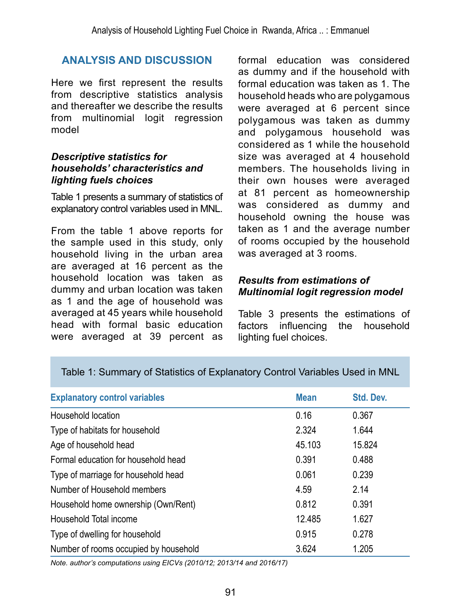# **ANALYSIS AND DISCUSSION**

Here we first represent the results from descriptive statistics analysis and thereafter we describe the results from multinomial logit regression model

#### *Descriptive statistics for households' characteristics and lighting fuels choices*

Table 1 presents a summary of statistics of explanatory control variables used in MNL.

From the table 1 above reports for the sample used in this study, only household living in the urban area are averaged at 16 percent as the household location was taken as dummy and urban location was taken as 1 and the age of household was averaged at 45 years while household head with formal basic education were averaged at 39 percent as

formal education was considered as dummy and if the household with formal education was taken as 1. The household heads who are polygamous were averaged at 6 percent since polygamous was taken as dummy and polygamous household was considered as 1 while the household size was averaged at 4 household members. The households living in their own houses were averaged at 81 percent as homeownership was considered as dummy and household owning the house was taken as 1 and the average number of rooms occupied by the household was averaged at 3 rooms.

#### *Results from estimations of Multinomial logit regression model*

Table 3 presents the estimations of factors influencing the household lighting fuel choices.

| <b>Explanatory control variables</b>  | <b>Mean</b> | Std. Dev. |
|---------------------------------------|-------------|-----------|
| Household location                    | 0.16        | 0.367     |
| Type of habitats for household        | 2.324       | 1.644     |
| Age of household head                 | 45.103      | 15.824    |
| Formal education for household head   | 0.391       | 0.488     |
| Type of marriage for household head   | 0.061       | 0.239     |
| Number of Household members           | 4.59        | 2.14      |
| Household home ownership (Own/Rent)   | 0.812       | 0.391     |
| Household Total income                | 12.485      | 1.627     |
| Type of dwelling for household        | 0.915       | 0.278     |
| Number of rooms occupied by household | 3.624       | 1.205     |

Table 1: Summary of Statistics of Explanatory Control Variables Used in MNL

*Note. author's computations using EICVs (2010/12; 2013/14 and 2016/17)*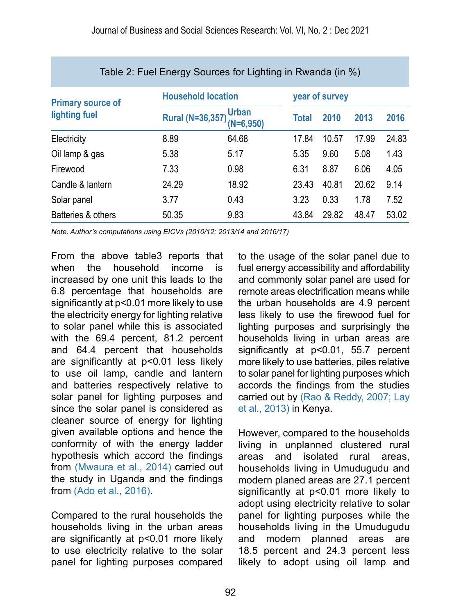| <b>Primary source of</b><br>lighting fuel |                         | <b>Household location</b>   |       | year of survey |       |       |  |
|-------------------------------------------|-------------------------|-----------------------------|-------|----------------|-------|-------|--|
|                                           | <b>Rural (N=36,357)</b> | <b>Urban</b><br>$(N=6,950)$ | Total | 2010           | 2013  | 2016  |  |
| Electricity                               | 8.89                    | 64.68                       | 17.84 | 10.57          | 17.99 | 24.83 |  |
| Oil lamp & gas                            | 5.38                    | 5.17                        | 5.35  | 9.60           | 5.08  | 1.43  |  |
| Firewood                                  | 7.33                    | 0.98                        | 6.31  | 8.87           | 6.06  | 4.05  |  |
| Candle & lantern                          | 24.29                   | 18.92                       | 23.43 | 40.81          | 20.62 | 9.14  |  |
| Solar panel                               | 3.77                    | 0.43                        | 3.23  | 0.33           | 1.78  | 7.52  |  |
| Batteries & others                        | 50.35                   | 9.83                        | 43.84 | 29.82          | 48.47 | 53.02 |  |

*Note. Author's computations using EICVs (2010/12; 2013/14 and 2016/17)*

From the above table3 reports that when the household income is increased by one unit this leads to the 6.8 percentage that households are significantly at p<0.01 more likely to use the electricity energy for lighting relative to solar panel while this is associated with the 69.4 percent, 81.2 percent and 64.4 percent that households are significantly at p<0.01 less likely to use oil lamp, candle and lantern and batteries respectively relative to solar panel for lighting purposes and since the solar panel is considered as cleaner source of energy for lighting given available options and hence the conformity of with the energy ladder hypothesis which accord the findings from [\(Mwaura et al., 2014\)](#page-10-4) carried out the study in Uganda and the findings from [\(Ado et al., 2016\)](#page-9-8).

Compared to the rural households the households living in the urban areas are significantly at p<0.01 more likely to use electricity relative to the solar panel for lighting purposes compared to the usage of the solar panel due to fuel energy accessibility and affordability and commonly solar panel are used for remote areas electrification means while the urban households are 4.9 percent less likely to use the firewood fuel for lighting purposes and surprisingly the households living in urban areas are significantly at p<0.01, 55.7 percent more likely to use batteries, piles relative to solar panel for lighting purposes which accords the findings from the studies carried out by [\(Rao & Reddy, 2007;](#page-10-5) [Lay](#page-9-9)  [et al., 2013\)](#page-9-9) in Kenya.

However, compared to the households living in unplanned clustered rural areas and isolated rural areas, households living in Umudugudu and modern planed areas are 27.1 percent significantly at p<0.01 more likely to adopt using electricity relative to solar panel for lighting purposes while the households living in the Umudugudu and modern planned areas are 18.5 percent and 24.3 percent less likely to adopt using oil lamp and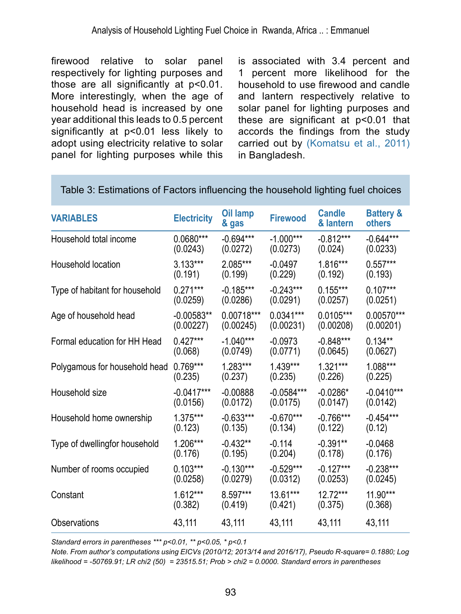firewood relative to solar panel respectively for lighting purposes and those are all significantly at p<0.01. More interestingly, when the age of household head is increased by one year additional this leads to 0.5 percent significantly at p<0.01 less likely to adopt using electricity relative to solar panel for lighting purposes while this is associated with 3.4 percent and 1 percent more likelihood for the household to use firewood and candle and lantern respectively relative to solar panel for lighting purposes and these are significant at p<0.01 that accords the findings from the study carried out by [\(Komatsu et al., 2011\)](#page-9-10) in Bangladesh.

| <b>VARIABLES</b>               | <b>Electricity</b> | Oil lamp<br>& gas | <b>Firewood</b> | <b>Candle</b><br>& lantern | <b>Battery &amp;</b><br><b>others</b> |
|--------------------------------|--------------------|-------------------|-----------------|----------------------------|---------------------------------------|
| Household total income         | 0.0680***          | $-0.694***$       | $-1.000***$     | $-0.812***$                | $-0.644***$                           |
|                                | (0.0243)           | (0.0272)          | (0.0273)        | (0.024)                    | (0.0233)                              |
| Household location             | $3.133***$         | 2.085***          | $-0.0497$       | 1.816***                   | $0.557***$                            |
|                                | (0.191)            | (0.199)           | (0.229)         | (0.192)                    | (0.193)                               |
| Type of habitant for household | $0.271***$         | $-0.185***$       | $-0.243***$     | $0.155***$                 | $0.107***$                            |
|                                | (0.0259)           | (0.0286)          | (0.0291)        | (0.0257)                   | (0.0251)                              |
| Age of household head          | $-0.00583**$       | $0.00718***$      | $0.0341***$     | 0.0105***                  | 0.00570***                            |
|                                | (0.00227)          | (0.00245)         | (0.00231)       | (0.00208)                  | (0.00201)                             |
| Formal education for HH Head   | $0.427***$         | $-1.040***$       | $-0.0973$       | $-0.848***$                | $0.134**$                             |
|                                | (0.068)            | (0.0749)          | (0.0771)        | (0.0645)                   | (0.0627)                              |
| Polygamous for household head  | $0.769***$         | $1.283***$        | $1.439***$      | $1.321***$                 | 1.088***                              |
|                                | (0.235)            | (0.237)           | (0.235)         | (0.226)                    | (0.225)                               |
| Household size                 | $-0.0417***$       | $-0.00888$        | $-0.0584***$    | $-0.0286*$                 | $-0.0410***$                          |
|                                | (0.0156)           | (0.0172)          | (0.0175)        | (0.0147)                   | (0.0142)                              |
| Household home ownership       | $1.375***$         | $-0.633***$       | $-0.670***$     | $-0.766***$                | $-0.454***$                           |
|                                | (0.123)            | (0.135)           | (0.134)         | (0.122)                    | (0.12)                                |
| Type of dwellingfor household  | 1.206***           | $-0.432**$        | $-0.114$        | $-0.391**$                 | $-0.0468$                             |
|                                | (0.176)            | (0.195)           | (0.204)         | (0.178)                    | (0.176)                               |
| Number of rooms occupied       | $0.103***$         | $-0.130***$       | $-0.529***$     | $-0.127***$                | $-0.238***$                           |
|                                | (0.0258)           | (0.0279)          | (0.0312)        | (0.0253)                   | (0.0245)                              |
| Constant                       | $1.612***$         | 8.597***          | 13.61***        | 12.72***                   | 11.90***                              |
|                                | (0.382)            | (0.419)           | (0.421)         | (0.375)                    | (0.368)                               |
| Observations                   | 43,111             | 43,111            | 43,111          | 43,111                     | 43,111                                |

Table 3: Estimations of Factors influencing the household lighting fuel choices

*Standard errors in parentheses \*\*\* p<0.01, \*\* p<0.05, \* p<0.1*

*Note. From author's computations using EICVs (2010/12; 2013/14 and 2016/17), Pseudo R-square= 0.1880; Log likelihood = -50769.91; LR chi2 (50) = 23515.51; Prob > chi2 = 0.0000. Standard errors in parentheses*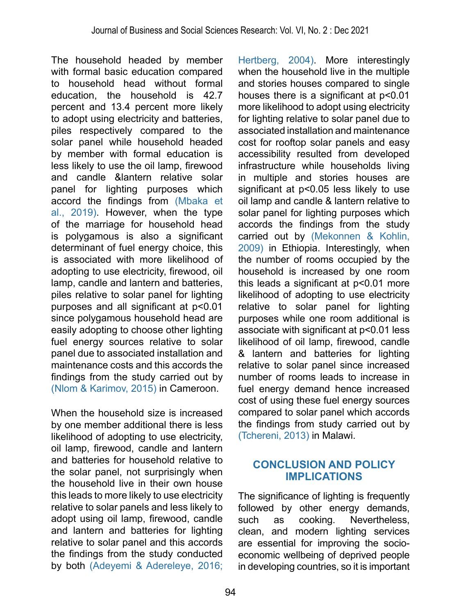The household headed by member with formal basic education compared to household head without formal education, the household is 42.7 percent and 13.4 percent more likely to adopt using electricity and batteries, piles respectively compared to the solar panel while household headed by member with formal education is less likely to use the oil lamp, firewood and candle &lantern relative solar panel for lighting purposes which accord the findings from [\(Mbaka et](#page-10-6)  [al., 2019\).](#page-10-6) However, when the type of the marriage for household head is polygamous is also a significant determinant of fuel energy choice, this is associated with more likelihood of adopting to use electricity, firewood, oil lamp, candle and lantern and batteries, piles relative to solar panel for lighting purposes and all significant at p<0.01 since polygamous household head are easily adopting to choose other lighting fuel energy sources relative to solar panel due to associated installation and maintenance costs and this accords the findings from the study carried out by [\(Nlom & Karimov, 2015\)](#page-10-7) in Cameroon.

When the household size is increased by one member additional there is less likelihood of adopting to use electricity, oil lamp, firewood, candle and lantern and batteries for household relative to the solar panel, not surprisingly when the household live in their own house this leads to more likely to use electricity relative to solar panels and less likely to adopt using oil lamp, firewood, candle and lantern and batteries for lighting relative to solar panel and this accords the findings from the study conducted by both [\(Adeyemi & Adereleye, 2016;](#page-8-0) 

[Hertberg, 2004\)](#page-9-11). More interestingly when the household live in the multiple and stories houses compared to single houses there is a significant at  $p < 0.01$ more likelihood to adopt using electricity for lighting relative to solar panel due to associated installation and maintenance cost for rooftop solar panels and easy accessibility resulted from developed infrastructure while households living in multiple and stories houses are significant at p<0.05 less likely to use oil lamp and candle & lantern relative to solar panel for lighting purposes which accords the findings from the study carried out by [\(Mekonnen & Kohlin,](#page-10-8)  [2009\)](#page-10-8) in Ethiopia. Interestingly, when the number of rooms occupied by the household is increased by one room this leads a significant at p<0.01 more likelihood of adopting to use electricity relative to solar panel for lighting purposes while one room additional is associate with significant at p<0.01 less likelihood of oil lamp, firewood, candle & lantern and batteries for lighting relative to solar panel since increased number of rooms leads to increase in fuel energy demand hence increased cost of using these fuel energy sources compared to solar panel which accords the findings from study carried out by [\(Tchereni, 2013\)](#page-10-9) in Malawi.

## **CONCLUSION AND POLICY IMPLICATIONS**

The significance of lighting is frequently followed by other energy demands,<br>such as cooking. Nevertheless. as cooking. Nevertheless, clean, and modern lighting services are essential for improving the socioeconomic wellbeing of deprived people in developing countries, so it is important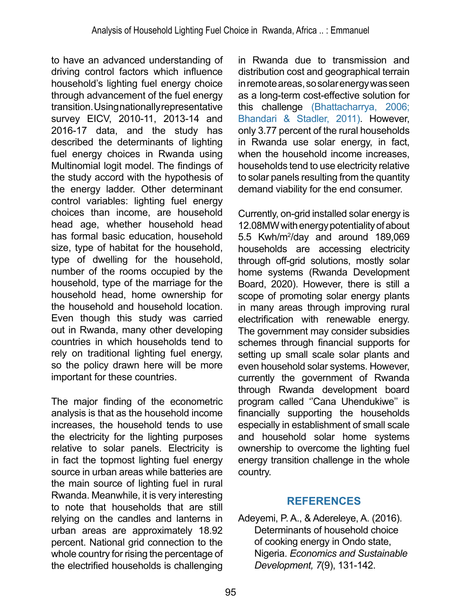to have an advanced understanding of driving control factors which influence household's lighting fuel energy choice through advancement of the fuel energy transition. Using nationally representative survey EICV, 2010-11, 2013-14 and 2016-17 data, and the study has described the determinants of lighting fuel energy choices in Rwanda using Multinomial logit model. The findings of the study accord with the hypothesis of the energy ladder. Other determinant control variables: lighting fuel energy choices than income, are household head age, whether household head has formal basic education, household size, type of habitat for the household, type of dwelling for the household, number of the rooms occupied by the household, type of the marriage for the household head, home ownership for the household and household location. Even though this study was carried out in Rwanda, many other developing countries in which households tend to rely on traditional lighting fuel energy, so the policy drawn here will be more important for these countries.

The major finding of the econometric analysis is that as the household income increases, the household tends to use the electricity for the lighting purposes relative to solar panels. Electricity is in fact the topmost lighting fuel energy source in urban areas while batteries are the main source of lighting fuel in rural Rwanda. Meanwhile, it is very interesting to note that households that are still relying on the candles and lanterns in urban areas are approximately 18.92 percent. National grid connection to the whole country for rising the percentage of the electrified households is challenging

in Rwanda due to transmission and distribution cost and geographical terrain in remote areas, so solar energy was seen as a long-term cost-effective solution for this challenge [\(Bhattacharrya, 2006;](#page-9-12) [Bhandari & Stadler, 2011\)](#page-9-13). However, only 3.77 percent of the rural households in Rwanda use solar energy, in fact, when the household income increases. households tend to use electricity relative to solar panels resulting from the quantity demand viability for the end consumer.

Currently, on-grid installed solar energy is 12.08MW with energy potentiality of about 5.5 Kwh/m2 /day and around 189,069 households are accessing electricity through off-grid solutions, mostly solar home systems (Rwanda Development Board, 2020). However, there is still a scope of promoting solar energy plants in many areas through improving rural electrification with renewable energy. The government may consider subsidies schemes through financial supports for setting up small scale solar plants and even household solar systems. However, currently the government of Rwanda through Rwanda development board program called ''Cana Uhendukiwe'' is financially supporting the households especially in establishment of small scale and household solar home systems ownership to overcome the lighting fuel energy transition challenge in the whole country.

# **REFERENCES**

<span id="page-8-0"></span>[Adeyemi, P. A., & Adereleye, A. \(2016\).](#page--1-0)  [Determinants of household choice](#page--1-0)  [of cooking energy in Ondo state,](#page--1-0)  Nigeria. *[Economics and Sustainable](#page--1-0)  [Development, 7](#page--1-0)*(9), 131-142.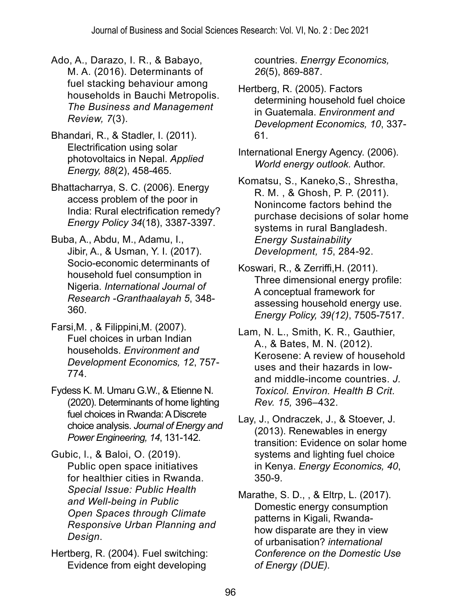- <span id="page-9-8"></span>Ado, A., Darazo, I. R., & Babayo, M. A. (2016). Determinants of fuel stacking behaviour among households in Bauchi Metropolis. *The Business and Management Review, 7*(3).
- <span id="page-9-13"></span>Bhandari, R., & Stadler, I. (2011). Electrification using solar photovoltaics in Nepal. *Applied Energy, 88*(2), 458-465.
- <span id="page-9-12"></span>Bhattacharrya, S. C. (2006). Energy access problem of the poor in India: Rural electrification remedy? *Energy Policy 34*(18), 3387-3397.
- <span id="page-9-1"></span>Buba, A., Abdu, M., Adamu, I., Jibir, A., & Usman, Y. I. (2017). Socio-economic determinants of household fuel consumption in Nigeria. *International Journal of Research -Granthaalayah 5*, 348- 360.
- <span id="page-9-7"></span>Farsi,M. , & Filippini,M. (2007). Fuel choices in urban Indian households. *Environment and Development Economics, 12*, 757- 774.
- <span id="page-9-4"></span>Fydess K. M. Umaru G.W., & Etienne N. (2020). Determinants of home lighting fuel choices in Rwanda: A Discrete choice analysis. *Journal of Energy and Power Engineering, 14*, 131-142.
- <span id="page-9-6"></span>Gubic, l., & Baloi, O. (2019). Public open space initiatives for healthier cities in Rwanda. *Special Issue: Public Health and Well-being in Public Open Spaces through Climate Responsive Urban Planning and Design*.
- <span id="page-9-11"></span>Hertberg, R. (2004). Fuel switching: Evidence from eight developing

countries. *Enerrgy Economics, 26*(5), 869-887.

- <span id="page-9-3"></span>Hertberg, R. (2005). Factors determining household fuel choice in Guatemala. *Environment and Development Economics, 10*, 337- 61.
- International Energy Agency. (2006). *World energy outlook.* Author.

<span id="page-9-10"></span>Komatsu, S., Kaneko,S., Shrestha, R. M. , & Ghosh, P. P. (2011). Nonincome factors behind the purchase decisions of solar home systems in rural Bangladesh. *Energy Sustainability Development, 15*, 284-92.

- <span id="page-9-2"></span>Koswari, R., & Zerriffi,H. (2011). Three dimensional energy profile: A conceptual framework for assessing household energy use. *Energy Policy, 39(12)*, 7505-7517.
- <span id="page-9-0"></span>Lam, N. L., Smith, K. R., Gauthier, A., & Bates, M. N. (2012). Kerosene: A review of household uses and their hazards in lowand middle-income countries. *J. Toxicol. Environ. Health B Crit. Rev. 15,* 396–432.
- <span id="page-9-9"></span>Lay, J., Ondraczek, J., & Stoever, J. (2013). Renewables in energy transition: Evidence on solar home systems and lighting fuel choice in Kenya. *Energy Economics, 40*, 350-9.
- <span id="page-9-5"></span>Marathe, S. D., , & Eltrp, L. (2017). Domestic energy consumption patterns in Kigali, Rwandahow disparate are they in view of urbanisation? *international Conference on the Domestic Use of Energy (DUE).*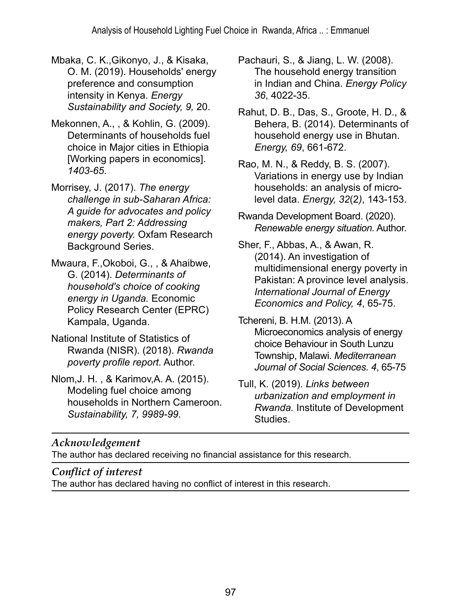- <span id="page-10-6"></span>Mbaka, C. K.,Gikonyo, J., & Kisaka, O. M. (2019). Households' energy preference and consumption intensity in Kenya. *Energy Sustainability and Society, 9,* 20.
- <span id="page-10-8"></span>Mekonnen, A., , & Kohlin, G. (2009). Determinants of households fuel choice in Major cities in Ethiopia [Working papers in economics]. *1403-65*.
- <span id="page-10-1"></span>Morrisey, J. (2017). *The energy challenge in sub-Saharan Africa: A guide for advocates and policy makers, Part 2: Addressing energy poverty.* Oxfam Research Background Series.
- <span id="page-10-4"></span>Mwaura, F.,Okoboi, G., , & Ahaibwe, G. (2014). *Determinants of household's choice of cooking energy in Uganda.* Economic Policy Research Center (EPRC) Kampala, Uganda.
- National Institute of Statistics of Rwanda (NISR). (2018). *Rwanda poverty profile report.* Author.
- <span id="page-10-7"></span>Nlom,J. H. , & Karimov,A. A. (2015). Modeling fuel choice among households in Northern Cameroon. *Sustainability, 7, 9989-99*.
- <span id="page-10-3"></span>Pachauri, S., & Jiang, L. W. (2008). The household energy transition in Indian and China. *Energy Policy 36*, 4022-35.
- <span id="page-10-2"></span>Rahut, D. B., Das, S., Groote, H. D., & Behera, B. (2014). Determinants of household energy use in Bhutan. *Energy, 69*, 661-672.
- <span id="page-10-5"></span>Rao, M. N., & Reddy, B. S. (2007). Variations in energy use by Indian households: an analysis of microlevel data. *Energy, 32*(2*)*, 143-153.
- Rwanda Development Board. (2020). *Renewable energy situation.* Author.
- <span id="page-10-0"></span>Sher, F., Abbas, A., & Awan, R. (2014). An investigation of multidimensional energy poverty in Pakistan: A province level analysis. *International Journal of Energy Economics and Policy, 4*, 65-75.
- <span id="page-10-9"></span>Tchereni, B. H.M. (2013). A Microeconomics analysis of energy choice Behaviour in South Lunzu Township, Malawi. *Mediterranean Journal of Social Sciences*. *4*, 65-75
- Tull, K. (2019). *Links between urbanization and employment in Rwanda.* Institute of Development Studies.

# *Acknowledgement*

The author has declared receiving no financial assistance for this research.

# *Conflict of interest*

The author has declared having no conflict of interest in this research.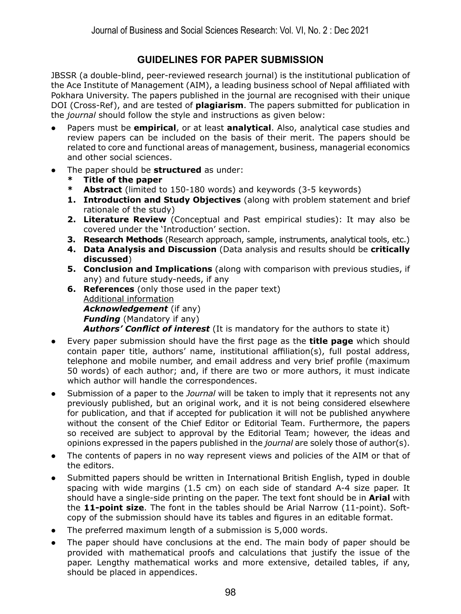### **GUIDELINES FOR PAPER SUBMISSION**

JBSSR (a double-blind, peer-reviewed research journal) is the institutional publication of the Ace Institute of Management (AIM), a leading business school of Nepal affiliated with Pokhara University. The papers published in the journal are recognised with their unique DOI (Cross-Ref), and are tested of **plagiarism**. The papers submitted for publication in the *journal* should follow the style and instructions as given below:

- Papers must be **empirical**, or at least **analytical**. Also, analytical case studies and review papers can be included on the basis of their merit. The papers should be related to core and functional areas of management, business, managerial economics and other social sciences.
- The paper should be **structured** as under:
	- **\* Title of the paper**
	- **\* Abstract** (limited to 150-180 words) and keywords (3-5 keywords)
	- **1. Introduction and Study Objectives** (along with problem statement and brief rationale of the study)
	- **2. Literature Review** (Conceptual and Past empirical studies): It may also be covered under the 'Introduction' section.
	- **3. Research Methods** (Research approach, sample, instruments, analytical tools, etc.)
	- **4. Data Analysis and Discussion** (Data analysis and results should be **critically discussed**)
	- **5. Conclusion and Implications** (along with comparison with previous studies, if any) and future study-needs, if any
	- **6. References** (only those used in the paper text) Additional information  *Acknowledgement* (if any)  *Funding* (Mandatory if any)

*Authors' Conflict of interest* (It is mandatory for the authors to state it)

- Every paper submission should have the first page as the **title page** which should contain paper title, authors' name, institutional affiliation(s), full postal address, telephone and mobile number, and email address and very brief profile (maximum 50 words) of each author; and, if there are two or more authors, it must indicate which author will handle the correspondences.
- Submission of a paper to the *Journal* will be taken to imply that it represents not any previously published, but an original work, and it is not being considered elsewhere for publication, and that if accepted for publication it will not be published anywhere without the consent of the Chief Editor or Editorial Team. Furthermore, the papers so received are subject to approval by the Editorial Team; however, the ideas and opinions expressed in the papers published in the *journal* are solely those of author(s).
- The contents of papers in no way represent views and policies of the AIM or that of the editors.
- Submitted papers should be written in International British English, typed in double spacing with wide margins (1.5 cm) on each side of standard A-4 size paper. It should have a single-side printing on the paper. The text font should be in **Arial** with the **11-point size**. The font in the tables should be Arial Narrow (11-point). Softcopy of the submission should have its tables and figures in an editable format.
- The preferred maximum length of a submission is 5,000 words.
- The paper should have conclusions at the end. The main body of paper should be provided with mathematical proofs and calculations that justify the issue of the paper. Lengthy mathematical works and more extensive, detailed tables, if any, should be placed in appendices.